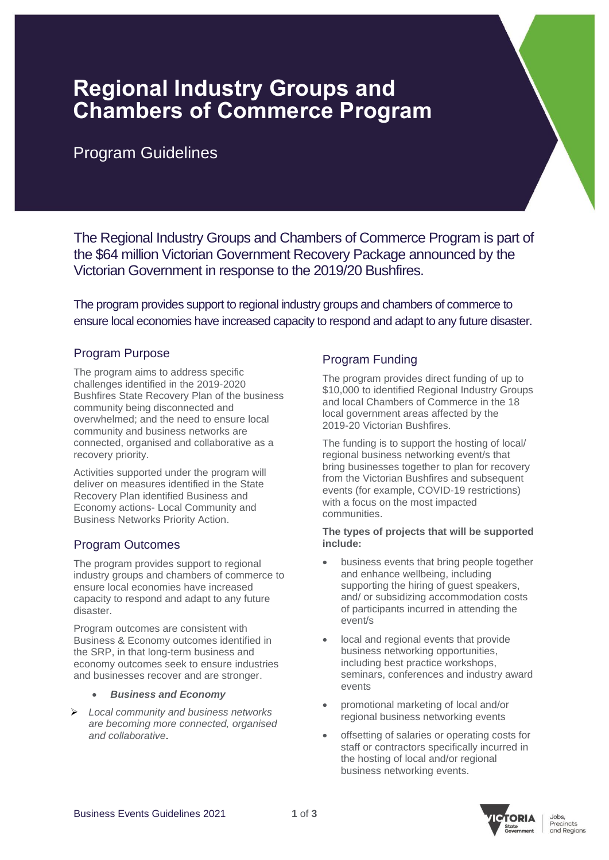# **Regional Industry Groups and Chambers of Commerce Program**

# Program Guidelines

The Regional Industry Groups and Chambers of Commerce Program is part of the \$64 million Victorian Government Recovery Package announced by the Victorian Government in response to the 2019/20 Bushfires.

The program provides support to regional industry groups and chambers of commerce to ensure local economies have increased capacity to respond and adapt to any future disaster.

### Program Purpose

The program aims to address specific challenges identified in the 2019-2020 Bushfires State Recovery Plan of the business community being disconnected and overwhelmed; and the need to ensure local community and business networks are connected, organised and collaborative as a recovery priority.

Activities supported under the program will deliver on measures identified in the State Recovery Plan identified Business and Economy actions- Local Community and Business Networks Priority Action.

# Program Outcomes

The program provides support to regional industry groups and chambers of commerce to ensure local economies have increased capacity to respond and adapt to any future disaster.

Program outcomes are consistent with Business & Economy outcomes identified in the SRP, in that long-term business and economy outcomes seek to ensure industries and businesses recover and are stronger.

- *Business and Economy*
- ➢ *Local community and business networks are becoming more connected, organised and collaborative*.

# Program Funding

The program provides direct funding of up to \$10,000 to identified Regional Industry Groups and local Chambers of Commerce in the 18 local government areas affected by the 2019-20 Victorian Bushfires.

The funding is to support the hosting of local/ regional business networking event/s that bring businesses together to plan for recovery from the Victorian Bushfires and subsequent events (for example, COVID-19 restrictions) with a focus on the most impacted communities.

#### **The types of projects that will be supported include:**

- business events that bring people together and enhance wellbeing, including supporting the hiring of guest speakers, and/ or subsidizing accommodation costs of participants incurred in attending the event/s
- local and regional events that provide business networking opportunities, including best practice workshops, seminars, conferences and industry award events
- promotional marketing of local and/or regional business networking events
- offsetting of salaries or operating costs for staff or contractors specifically incurred in the hosting of local and/or regional business networking events.

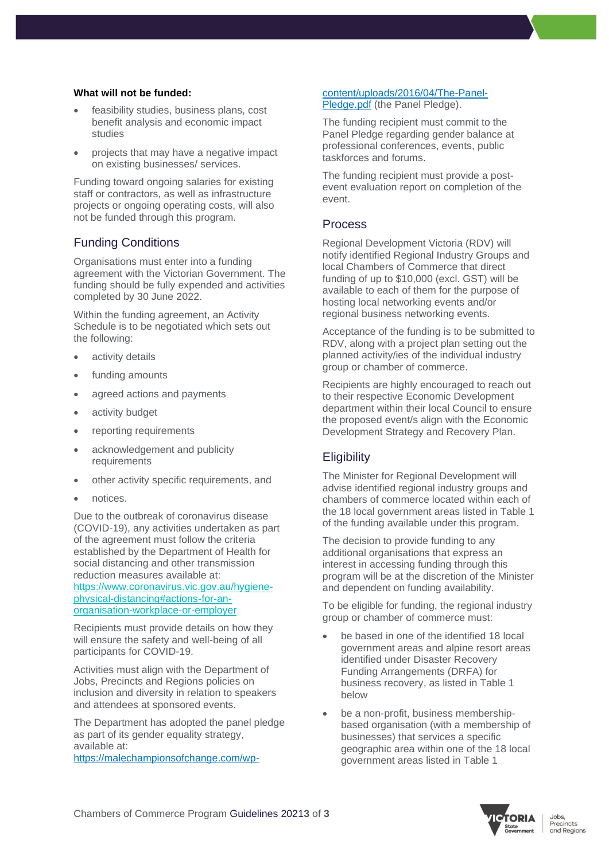#### **What will not be funded:**

- feasibility studies, business plans, cost benefit analysis and economic impact studies
- projects that may have a negative impact on existing businesses/ services.

Funding toward ongoing salaries for existing staff or contractors, as well as infrastructure projects or ongoing operating costs, will also not be funded through this program.

### Funding Conditions

Organisations must enter into a funding agreement with the Victorian Government. The funding should be fully expended and activities completed by 30 June 2022.

Within the funding agreement, an Activity Schedule is to be negotiated which sets out the following:

- activity details
- funding amounts
- agreed actions and payments
- activity budget
- reporting requirements
- acknowledgement and publicity requirements
- other activity specific requirements, and
- notices.

Due to the outbreak of coronavirus disease (COVID-19), any activities undertaken as part of the agreement must follow the criteria established by the Department of Health for social distancing and other transmission reduction measures available at: [https://www.coronavirus.vic.gov.au/hygiene](https://www.coronavirus.vic.gov.au/hygiene-physical-distancing#actions-for-an-organisation-workplace-or-employer)[physical-distancing#actions-for-an](https://www.coronavirus.vic.gov.au/hygiene-physical-distancing#actions-for-an-organisation-workplace-or-employer)[organisation-workplace-or-employer](https://www.coronavirus.vic.gov.au/hygiene-physical-distancing#actions-for-an-organisation-workplace-or-employer)

Recipients must provide details on how they will ensure the safety and well-being of all participants for COVID-19.

Activities must align with the Department of Jobs, Precincts and Regions policies on inclusion and diversity in relation to speakers and attendees at sponsored events.

The Department has adopted the panel pledge as part of its gender equality strategy, available at: https://malechampionsofchange.com/wp-

#### content/uploads/2016/04/The-Panel-Pledge.pdf (the Panel Pledge).

The funding recipient must commit to the Panel Pledge regarding gender balance at professional conferences, events, public taskforces and forums.

The funding recipient must provide a postevent evaluation report on completion of the event.

#### Process

Regional Development Victoria (RDV) will notify identified Regional Industry Groups and local Chambers of Commerce that direct funding of up to \$10,000 (excl. GST) will be available to each of them for the purpose of hosting local networking events and/or regional business networking events.

Acceptance of the funding is to be submitted to RDV, along with a project plan setting out the planned activity/ies of the individual industry group or chamber of commerce.

Recipients are highly encouraged to reach out to their respective Economic Development department within their local Council to ensure the proposed event/s align with the Economic Development Strategy and Recovery Plan.

# **Eligibility**

The Minister for Regional Development will advise identified regional industry groups and chambers of commerce located within each of the 18 local government areas listed in Table 1 of the funding available under this program.

The decision to provide funding to any additional organisations that express an interest in accessing funding through this program will be at the discretion of the Minister and dependent on funding availability.

To be eligible for funding, the regional industry group or chamber of commerce must:

- be based in one of the identified 18 local government areas and alpine resort areas identified under Disaster Recovery Funding Arrangements (DRFA) for business recovery, as listed in Table 1 below
- be a non-profit, business membershipbased organisation (with a membership of businesses) that services a specific geographic area within one of the 18 local government areas listed in Table 1

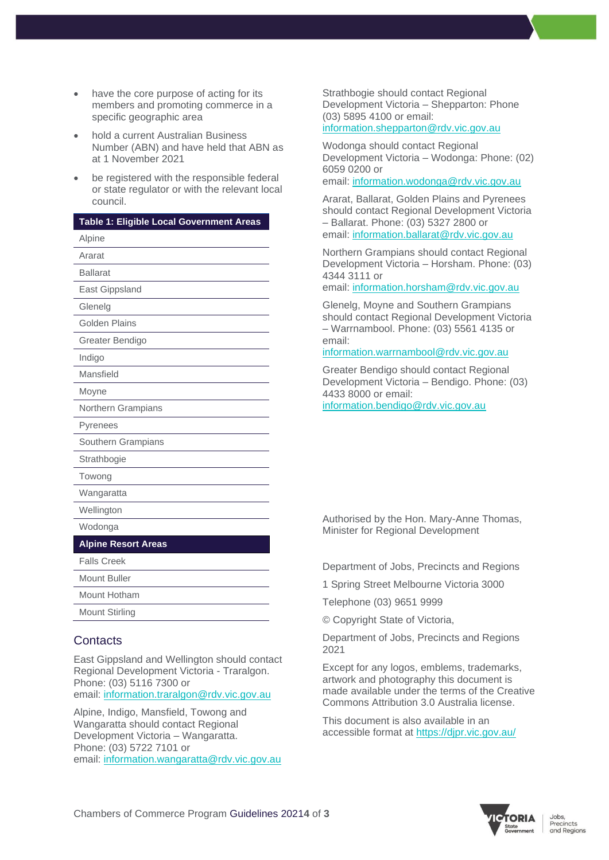- have the core purpose of acting for its members and promoting commerce in a specific geographic area
- hold a current Australian Business Number (ABN) and have held that ABN as at 1 November 2021
- be registered with the responsible federal or state regulator or with the relevant local council.

| Table 1: Eligible Local Government Areas |
|------------------------------------------|
| Alpine                                   |
| Ararat                                   |
| <b>Ballarat</b>                          |
| East Gippsland                           |
| Glenelg                                  |
| <b>Golden Plains</b>                     |
| Greater Bendigo                          |
| Indigo                                   |
| Mansfield                                |
| Moyne                                    |
| Northern Grampians                       |
| Pyrenees                                 |
| Southern Grampians                       |
| Strathbogie                              |
| Towong                                   |
| Wangaratta                               |
| Wellington                               |
| Wodonga                                  |
| <b>Alpine Resort Areas</b>               |
| <b>Falls Creek</b>                       |
| Mount Buller                             |
| Mount Hotham                             |
| <b>Mount Stirling</b>                    |

# **Contacts**

East Gippsland and Wellington should contact Regional Development Victoria - Traralgon. Phone: (03) 5116 7300 or email: [information.traralgon@rdv.vic.gov.au](mailto:information.traralgon@rdv.vic.gov.au)

Alpine, Indigo, Mansfield, Towong and Wangaratta should contact Regional Development Victoria – Wangaratta. Phone: (03) 5722 7101 or email: [information.wangaratta@rdv.vic.gov.au](mailto:information.wangaratta@rdv.vic.gov.au) Strathbogie should contact Regional Development Victoria – Shepparton: Phone (03) 5895 4100 or email: [information.shepparton@rdv.vic.gov.au](mailto:information.shepparton@rdv.vic.gov.au)

Wodonga should contact Regional Development Victoria – Wodonga: Phone: (02) 6059 0200 or email: [information.wodonga@rdv.vic.gov.au](mailto:information.wodonga@rdv.vic.gov.au)

Ararat, Ballarat, Golden Plains and Pyrenees should contact Regional Development Victoria – Ballarat. Phone: (03) 5327 2800 or email: [information.ballarat@rdv.vic.gov.au](mailto:information.ballarat@rdv.vic.gov.au)

Northern Grampians should contact Regional Development Victoria – Horsham. Phone: (03) 4344 3111 or

email: [information.horsham@rdv.vic.gov.au](mailto:information.horsham@rdv.vic.gov.au)

Glenelg, Moyne and Southern Grampians should contact Regional Development Victoria – Warrnambool. Phone: (03) 5561 4135 or email:

#### [information.warrnambool@rdv.vic.gov.au](mailto:information.warrnambool@rdv.vic.gov.au)

Greater Bendigo should contact Regional Development Victoria – Bendigo. Phone: (03) 4433 8000 or email: [information.bendigo@rdv.vic.gov.au](mailto:information.bendigo@rdv.vic.gov.au)

Authorised by the Hon. Mary-Anne Thomas, Minister for Regional Development

Department of Jobs, Precincts and Regions

1 Spring Street Melbourne Victoria 3000

Telephone (03) 9651 9999

© Copyright State of Victoria,

Department of Jobs, Precincts and Regions 2021

Except for any logos, emblems, trademarks, artwork and photography this document is made available under the terms of the Creative Commons Attribution 3.0 Australia license.

This document is also available in an accessible format at<https://djpr.vic.gov.au/>